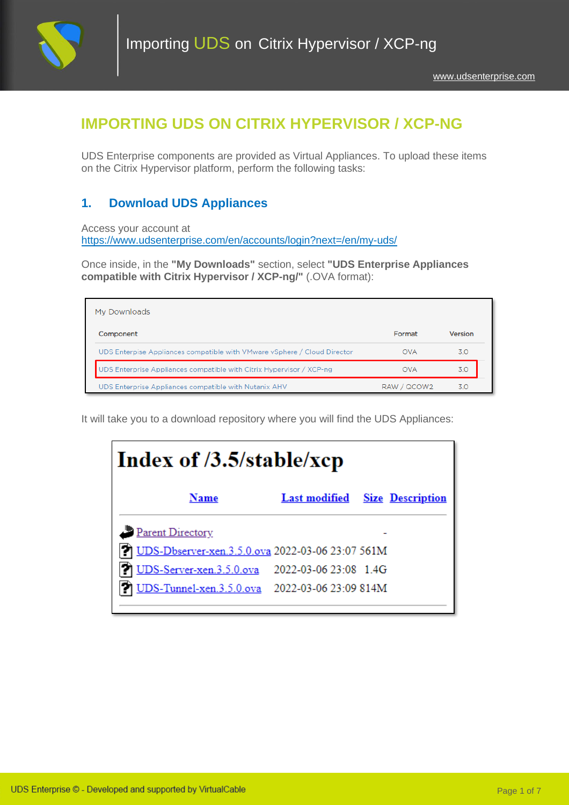

# **IMPORTING UDS ON CITRIX HYPERVISOR / XCP-NG**

UDS Enterprise components are provided as Virtual Appliances. To upload these items on the Citrix Hypervisor platform, perform the following tasks:

## **1. Download UDS Appliances**

Access your account at <https://www.udsenterprise.com/en/accounts/login?next=/en/my-uds/>

Once inside, in the **"My Downloads"** section, select **"UDS Enterprise Appliances compatible with Citrix Hypervisor / XCP-ng/"** (.OVA format):

| My Downloads                                                             |             |         |
|--------------------------------------------------------------------------|-------------|---------|
| Component                                                                | Format      | Version |
| UDS Enterpise Appliances compatible with VMware vSphere / Cloud Director | <b>OVA</b>  | 3.0     |
| UDS Enterprise Appliances compatible with Citrix Hypervisor / XCP-ng     | <b>OVA</b>  | 3 O     |
| UDS Enterprise Appliances compatible with Nutanix AHV                    | RAW / QCOW2 | 3 O     |

It will take you to a download repository where you will find the UDS Appliances:

| Index of /3.5/stable/xcp                            |                       |                                       |  |
|-----------------------------------------------------|-----------------------|---------------------------------------|--|
| Name                                                |                       | <b>Last modified</b> Size Description |  |
| Parent Directory                                    |                       |                                       |  |
| 2) UDS-Dbserver-xen.3.5.0.ova 2022-03-06 23:07 561M |                       |                                       |  |
| UDS-Server-xen.3.5.0.ova                            | 2022-03-06 23:08 1.4G |                                       |  |
| JDS-Tunnel-xen.3.5.0.ova 2022-03-06 23:09 814M      |                       |                                       |  |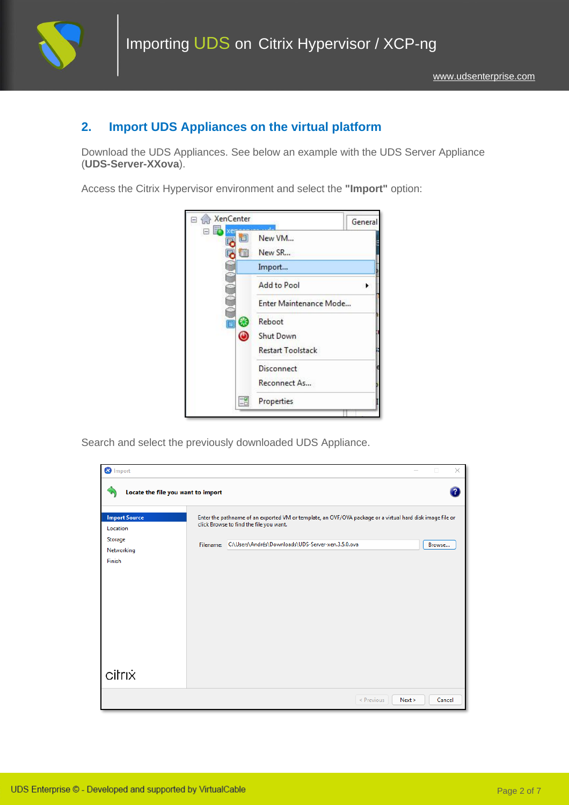

### **2. Import UDS Appliances on the virtual platform**

Download the UDS Appliances. See below an example with the UDS Server Appliance (**UDS-Server-XXova**).

Access the Citrix Hypervisor environment and select the **"Import"** option:



Search and select the previously downloaded UDS Appliance.

| <b>3</b> Import                    |                                                                                                                                                      | $\times$<br>п  |
|------------------------------------|------------------------------------------------------------------------------------------------------------------------------------------------------|----------------|
| Locate the file you want to import |                                                                                                                                                      | $\overline{P}$ |
| <b>Import Source</b><br>Location   | Enter the pathname of an exported VM or template, an OVF/OVA package or a virtual hard disk image file or<br>click Browse to find the file you want. |                |
| Storage<br>Networking<br>Finish    | C:\Users\Andrés\Downloads\UDS-Server-xen.3.5.0.ova<br>Filename:                                                                                      | Browse         |
| citrix                             |                                                                                                                                                      |                |
|                                    | < Previous<br>Next >                                                                                                                                 | Cancel         |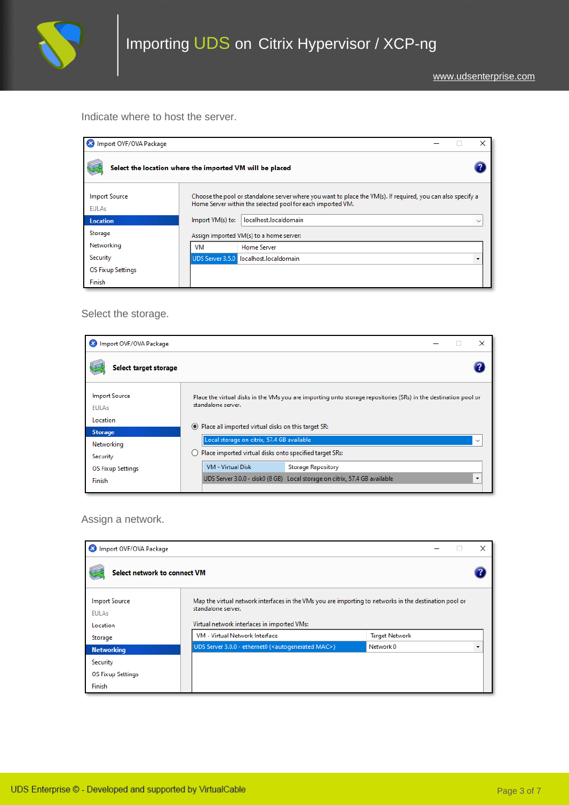

Indicate where to host the server.

| 23 Import OVF/OVA Package            |                                                                                                                                                                           |  |
|--------------------------------------|---------------------------------------------------------------------------------------------------------------------------------------------------------------------------|--|
|                                      | Select the location where the imported VM will be placed                                                                                                                  |  |
| <b>Import Source</b><br><b>EULAs</b> | Choose the pool or standalone server where you want to place the VM(s). If required, you can also specify a<br>Home Server within the selected pool for each imported VM. |  |
| <b>Location</b>                      | localhost.localdomain<br>Import VM(s) to:<br>$\checkmark$                                                                                                                 |  |
| Storage                              | Assign imported VM(s) to a home server:                                                                                                                                   |  |
| Networking                           | VM<br>Home Server                                                                                                                                                         |  |
| Security                             | UDS Server 3.5.0 localhost.localdomain                                                                                                                                    |  |
| <b>OS Fixup Settings</b>             |                                                                                                                                                                           |  |
| Finish                               |                                                                                                                                                                           |  |

Select the storage.

| M Import OVF/OVA Package             | $\times$                                                                                                                              |
|--------------------------------------|---------------------------------------------------------------------------------------------------------------------------------------|
| Select target storage                |                                                                                                                                       |
| <b>Import Source</b><br><b>EULAs</b> | Place the virtual disks in the VMs you are importing onto storage repositories (SRs) in the destination pool or<br>standalone server. |
| Location                             |                                                                                                                                       |
| <b>Storage</b>                       | Place all imported virtual disks on this target SR:<br>$\odot$                                                                        |
| Networking                           | Local storage on citrix, 57.4 GB available<br>$\check{ }$                                                                             |
| Security                             | Place imported virtual disks onto specified target SRs:                                                                               |
| <b>OS Fixup Settings</b>             | <b>VM - Virtual Disk</b><br><b>Storage Repository</b>                                                                                 |
| Finish                               | UDS Server 3.0.0 - disk0 (8 GB) Local storage on citrix, 57.4 GB available<br>$\blacksquare$                                          |
|                                      |                                                                                                                                       |

Assign a network.

| Import OVF/OVA Package                           |                                                                                                                                                                             | ×                     |
|--------------------------------------------------|-----------------------------------------------------------------------------------------------------------------------------------------------------------------------------|-----------------------|
| Select network to connect VM                     |                                                                                                                                                                             |                       |
| <b>Import Source</b><br><b>EULAs</b><br>Location | Map the virtual network interfaces in the VMs you are importing to networks in the destination pool or<br>standalone server.<br>Virtual network interfaces in imported VMs: |                       |
| Storage                                          | VM - Virtual Network Interface                                                                                                                                              | <b>Target Network</b> |
| <b>Networking</b>                                | UDS Server 3.0.0 - ethernet0 ( <autogenerated mac="">)</autogenerated>                                                                                                      | Network 0<br>۰        |
| Security                                         |                                                                                                                                                                             |                       |
| <b>OS Fixup Settings</b>                         |                                                                                                                                                                             |                       |
| Finish                                           |                                                                                                                                                                             |                       |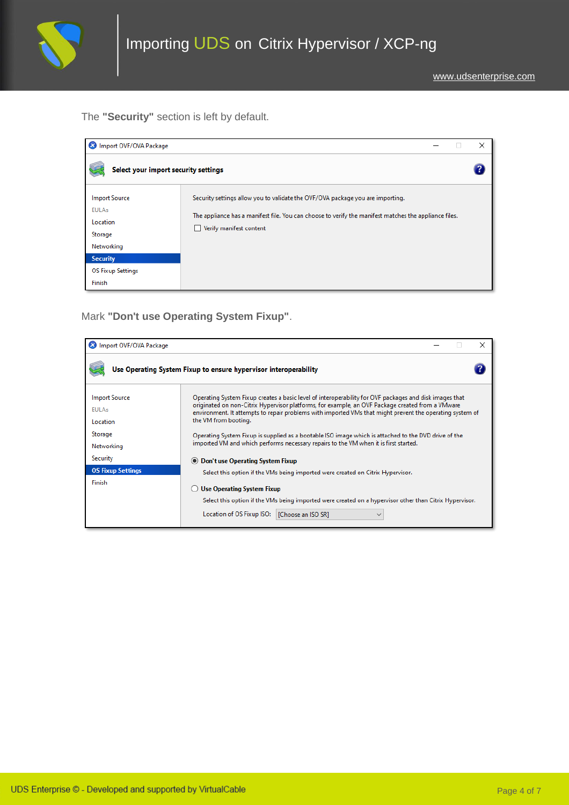

The **"Security"** section is left by default.

| Import OVF/OVA Package               | ×                                                                                                     |
|--------------------------------------|-------------------------------------------------------------------------------------------------------|
| Select your import security settings |                                                                                                       |
| <b>Import Source</b>                 | Security settings allow you to validate the OVF/OVA package you are importing.                        |
| <b>EULAs</b>                         | The appliance has a manifest file. You can choose to verify the manifest matches the appliance files. |
| Location                             | Verify manifest content                                                                               |
| Storage                              |                                                                                                       |
| Networking                           |                                                                                                       |
| <b>Security</b>                      |                                                                                                       |
| <b>OS Fixup Settings</b>             |                                                                                                       |
| Finish                               |                                                                                                       |

Mark **"Don't use Operating System Fixup"**.

| Import OVF/OVA Package                     |                                                                                                                                                                                                                                                                                                                                                |  |  |
|--------------------------------------------|------------------------------------------------------------------------------------------------------------------------------------------------------------------------------------------------------------------------------------------------------------------------------------------------------------------------------------------------|--|--|
|                                            | Use Operating System Fixup to ensure hypervisor interoperability                                                                                                                                                                                                                                                                               |  |  |
| <b>Import Source</b><br>FUI As<br>Location | Operating System Fixup creates a basic level of interoperability for OVF packages and disk images that<br>originated on non-Citrix Hypervisor platforms, for example, an OVF Package created from a VMware<br>environment. It attempts to repair problems with imported VMs that might prevent the operating system of<br>the VM from booting. |  |  |
| Storage<br>Networking                      | Operating System Fixup is supplied as a bootable ISO image which is attached to the DVD drive of the<br>imported VM and which performs necessary repairs to the VM when it is first started.                                                                                                                                                   |  |  |
| Security                                   | Don't use Operating System Fixup<br>$\odot$                                                                                                                                                                                                                                                                                                    |  |  |
| <b>OS Fixup Settings</b>                   | Select this option if the VMs being imported were created on Citrix Hypervisor.                                                                                                                                                                                                                                                                |  |  |
| <b>Finish</b>                              | <b>Use Operating System Fixup</b><br>Select this option if the VMs being imported were created on a hypervisor other than Citrix Hypervisor.                                                                                                                                                                                                   |  |  |
|                                            | Location of OS Fixup ISO:<br>[Choose an ISO SR]                                                                                                                                                                                                                                                                                                |  |  |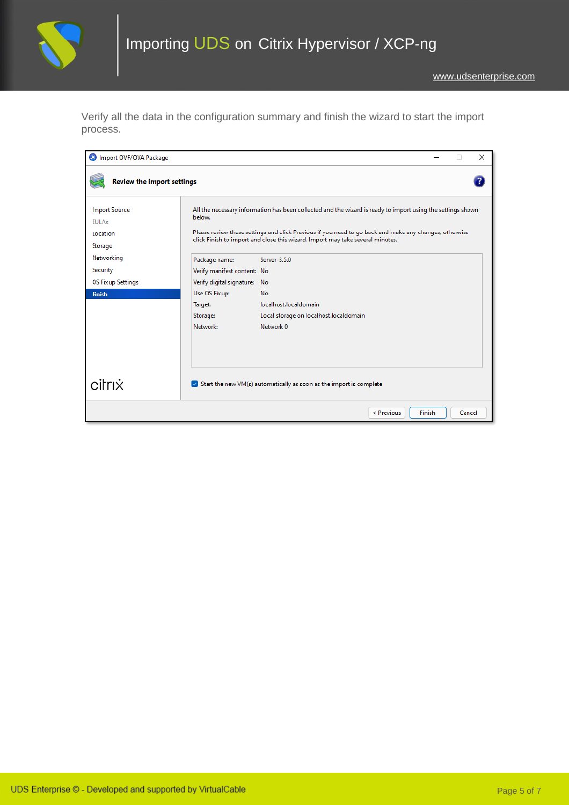

Verify all the data in the configuration summary and finish the wizard to start the import process.

| Import OVF/OVA Package               |                              |                                                                                                                                                                                          |        |        | $\times$ |
|--------------------------------------|------------------------------|------------------------------------------------------------------------------------------------------------------------------------------------------------------------------------------|--------|--------|----------|
| <b>Review the import settings</b>    |                              |                                                                                                                                                                                          |        |        |          |
| <b>Import Source</b><br><b>EULAs</b> | below.                       | All the necessary information has been collected and the wizard is ready to import using the settings shown                                                                              |        |        |          |
| Location                             |                              | Please review these settings and click Previous if you need to go back and make any changes, otherwise<br>click Finish to import and close this wizard. Import may take several minutes. |        |        |          |
| Storage                              |                              |                                                                                                                                                                                          |        |        |          |
| Networking                           | Package name:                | Server-3.5.0                                                                                                                                                                             |        |        |          |
| Security                             | Verify manifest content: No  |                                                                                                                                                                                          |        |        |          |
| <b>OS Fixup Settings</b>             | Verify digital signature: No |                                                                                                                                                                                          |        |        |          |
| <b>Finish</b>                        | Use OS Fixup:                | No                                                                                                                                                                                       |        |        |          |
|                                      | Target:                      | localhost.localdomain                                                                                                                                                                    |        |        |          |
|                                      | Storage:                     | Local storage on localhost.localdomain                                                                                                                                                   |        |        |          |
|                                      | Network:                     | Network 0                                                                                                                                                                                |        |        |          |
|                                      |                              |                                                                                                                                                                                          |        |        |          |
|                                      |                              |                                                                                                                                                                                          |        |        |          |
| citrix                               |                              | $\triangledown$ Start the new VM(s) automatically as soon as the import is complete                                                                                                      |        |        |          |
|                                      |                              | < Previous                                                                                                                                                                               | Finish | Cancel |          |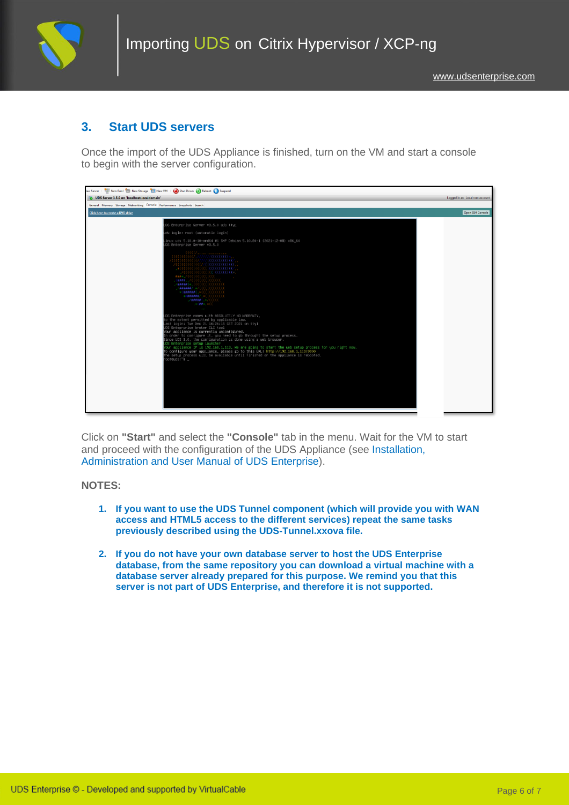

### **3. Start UDS servers**

Once the import of the UDS Appliance is finished, turn on the VM and start a console to begin with the server configuration.

| Lew Server   THE New Pool   New Storage   New VM   (a) Shut Down (2) Reboot (1) Suspend                                                                                                                                                                                                                                                                                                                                                                                                                                                                                                                                                                                                                                                                                                                                                                                                                                                                                                                                                                                                                                                                                                                                                                                                                                                                                                                                                                                                                                                                                                                                                                              |                  |  |  |
|----------------------------------------------------------------------------------------------------------------------------------------------------------------------------------------------------------------------------------------------------------------------------------------------------------------------------------------------------------------------------------------------------------------------------------------------------------------------------------------------------------------------------------------------------------------------------------------------------------------------------------------------------------------------------------------------------------------------------------------------------------------------------------------------------------------------------------------------------------------------------------------------------------------------------------------------------------------------------------------------------------------------------------------------------------------------------------------------------------------------------------------------------------------------------------------------------------------------------------------------------------------------------------------------------------------------------------------------------------------------------------------------------------------------------------------------------------------------------------------------------------------------------------------------------------------------------------------------------------------------------------------------------------------------|------------------|--|--|
| UDS Server 3.5.0 on 'localhost.localdomain'                                                                                                                                                                                                                                                                                                                                                                                                                                                                                                                                                                                                                                                                                                                                                                                                                                                                                                                                                                                                                                                                                                                                                                                                                                                                                                                                                                                                                                                                                                                                                                                                                          |                  |  |  |
| General Memory Storage Networking Console Performance Snapshots Search                                                                                                                                                                                                                                                                                                                                                                                                                                                                                                                                                                                                                                                                                                                                                                                                                                                                                                                                                                                                                                                                                                                                                                                                                                                                                                                                                                                                                                                                                                                                                                                               |                  |  |  |
| Click here to create a DVD drive                                                                                                                                                                                                                                                                                                                                                                                                                                                                                                                                                                                                                                                                                                                                                                                                                                                                                                                                                                                                                                                                                                                                                                                                                                                                                                                                                                                                                                                                                                                                                                                                                                     | Open SSH Console |  |  |
| UDS Enterprise Server v3.5.0 uds tty1                                                                                                                                                                                                                                                                                                                                                                                                                                                                                                                                                                                                                                                                                                                                                                                                                                                                                                                                                                                                                                                                                                                                                                                                                                                                                                                                                                                                                                                                                                                                                                                                                                |                  |  |  |
| uds login: root (automatic login)                                                                                                                                                                                                                                                                                                                                                                                                                                                                                                                                                                                                                                                                                                                                                                                                                                                                                                                                                                                                                                                                                                                                                                                                                                                                                                                                                                                                                                                                                                                                                                                                                                    |                  |  |  |
| inux uds 5.10.0–10–amd64 #1 SMP Debian 5.10.84–1 (2021–12–08) x86_64<br>OS Enterprise Server v3.5.0                                                                                                                                                                                                                                                                                                                                                                                                                                                                                                                                                                                                                                                                                                                                                                                                                                                                                                                                                                                                                                                                                                                                                                                                                                                                                                                                                                                                                                                                                                                                                                  |                  |  |  |
| $\begin{array}{l} \textit{HHS}_n \textit{HHS}_n \textit{HHS}_n \textit{HHS}_n \textit{HHS}_n \textit{HHS}_n \textit{HHS}_n \textit{HHS}_n \textit{HHS}_n \textit{HHS}_n \textit{HHS}_n \textit{HHS}_n \textit{HHS}_n \textit{HHS}_n \textit{HHS}_n \textit{HHS}_n \textit{HHS}_n \textit{HHS}_n \textit{HHS}_n \textit{HHS}_n \textit{HHS}_n \textit{HHS}_n \textit{HHS}_n \textit{HHS}_n \textit{HHS}_n \textit{HHS}_n \textit{H$<br>$\begin{array}{lll} \texttt{ \textbf{ \textbf{1}}},\texttt{ \textbf{1}} & \texttt{ \textbf{2}} & \texttt{ \textbf{3}} \\ \texttt{ \textbf{1}} & \texttt{ \textbf{1}} & \texttt{ \textbf{2}} \\ \texttt{ \textbf{1}} & \texttt{ \textbf{1}} & \texttt{ \textbf{2}} \\ \texttt{ \textbf{1}} & \texttt{ \textbf{1}} & \texttt{ \textbf{2}} \\ \texttt{ \textbf{2}} & \texttt{ \textbf{3}} & \texttt{ \textbf{2}} \\ \texttt{ \textbf{3}} & \texttt{ \textbf{4}} & \texttt{ \textbf{5}}$<br>,*(##*,*((<br><b>Contractor</b><br>DS Enterprise comes with ABSOLUTELY NO WARRANTY,<br>to the extent permitted by applicable law.<br>ast login: Tue Dec 21 16:26:15 CET 2021 on tty1<br>OS Enteprprise broker CLI tool<br>Your appliance is currently unconfigured.<br>In order to configure it, you need to go throught the setup process.<br>Since UDS 3.0, the configuration is done using a web browser.<br>OS Enterprise setup launcher<br>your appliance IP is 192.168.1.113. We are going to start the web setup process for you right now.<br>To configure your appliance, please go to this URL: http://192.168.1.113:9900<br>The setup process will be available until finished or the appliance is rebooted.<br>oot@uds:~#_ |                  |  |  |

Click on **"Start"** and select the **"Console"** tab in the menu. Wait for the VM to start and proceed with the configuration of the UDS Appliance (see [Installation,](https://www.udsenterprise.com/en/uds-enterprise/documentation/)  [Administration and User Manual of](https://www.udsenterprise.com/en/uds-enterprise/documentation/) [UDS Enterprise\)](https://www.udsenterprise.com/es/acerca-de-uds/documentacion/).

#### **NOTES:**

- **1. If you want to use the UDS Tunnel component (which will provide you with WAN access and HTML5 access to the different services) repeat the same tasks previously described using the UDS-Tunnel.xxova file.**
- **2. If you do not have your own database server to host the UDS Enterprise database, from the same repository you can download a virtual machine with a database server already prepared for this purpose. We remind you that this server is not part of UDS Enterprise, and therefore it is not supported.**